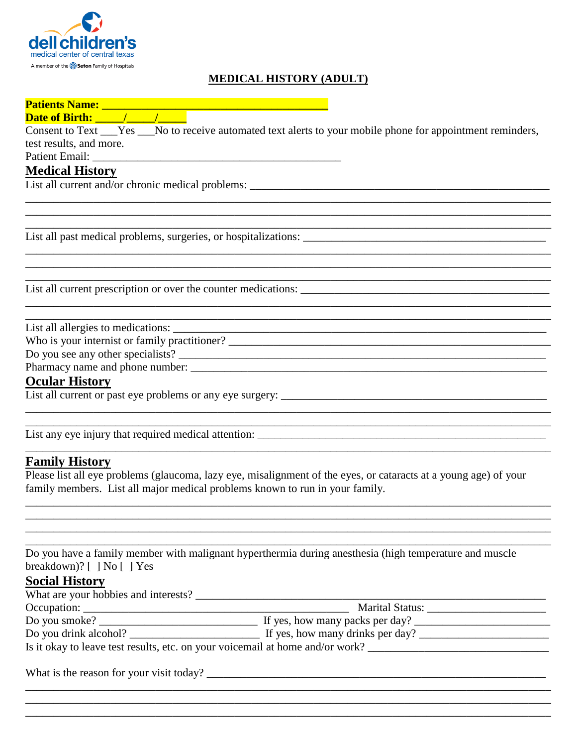

# **MEDICAL HISTORY (ADULT)**

| Consent to Text ___Yes ___No to receive automated text alerts to your mobile phone for appointment reminders, |  |  |  |
|---------------------------------------------------------------------------------------------------------------|--|--|--|
| test results, and more.                                                                                       |  |  |  |
| <b>Medical History</b>                                                                                        |  |  |  |
|                                                                                                               |  |  |  |
|                                                                                                               |  |  |  |
|                                                                                                               |  |  |  |
|                                                                                                               |  |  |  |
|                                                                                                               |  |  |  |
|                                                                                                               |  |  |  |
|                                                                                                               |  |  |  |
|                                                                                                               |  |  |  |
|                                                                                                               |  |  |  |
|                                                                                                               |  |  |  |
|                                                                                                               |  |  |  |
|                                                                                                               |  |  |  |
|                                                                                                               |  |  |  |
|                                                                                                               |  |  |  |
|                                                                                                               |  |  |  |
| $\Omega$ and an II's to be a set of $\Omega$                                                                  |  |  |  |

#### **Ocular History**

List any eye injury that required medical attention:

#### **Family History**

Please list all eye problems (glaucoma, lazy eye, misalignment of the eyes, or cataracts at a young age) of your family members. List all major medical problems known to run in your family.

<u> 1989 - Jan James James, martin amerikan basar dan berasal dalam berasal dalam berasal dalam berasal dalam be</u>

Do you have a family member with malignant hyperthermia during anesthesia (high temperature and muscle breakdown)?  $[ ]$  No  $[ ]$  Yes

# **Social History**

| What are your hobbies and interests?                                          |                                  |  |
|-------------------------------------------------------------------------------|----------------------------------|--|
| Occupation:                                                                   | <b>Marital Status:</b>           |  |
| Do you smoke?                                                                 | If yes, how many packs per day?  |  |
| Do you drink alcohol?                                                         | If yes, how many drinks per day? |  |
| Is it okay to leave test results, etc. on your voicemail at home and/or work? |                                  |  |

What is the reason for your visit today?